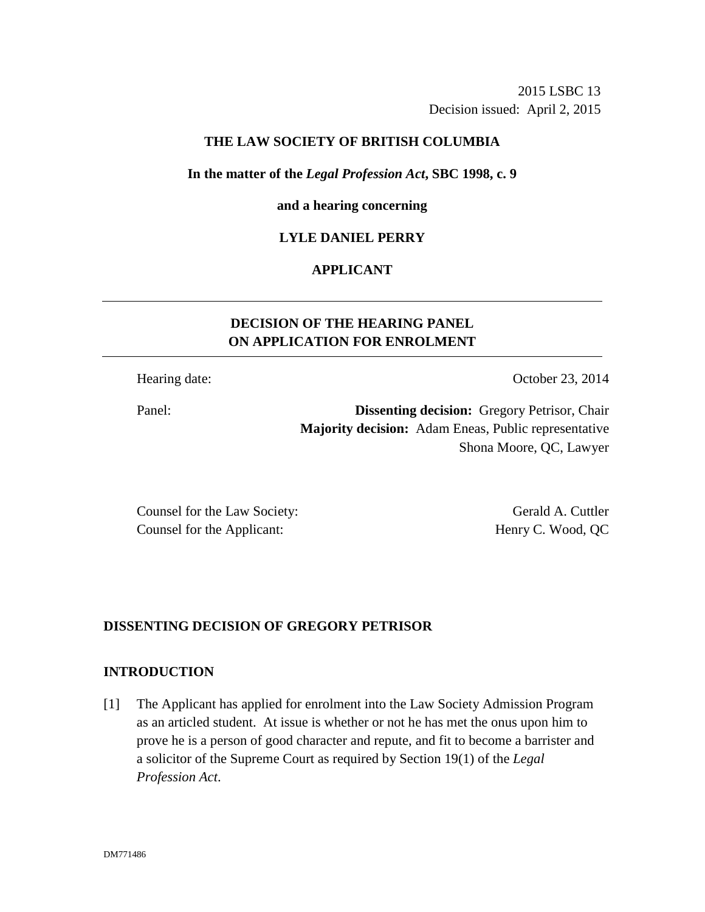2015 LSBC 13 Decision issued: April 2, 2015

### **THE LAW SOCIETY OF BRITISH COLUMBIA**

### **In the matter of the** *Legal Profession Act***, SBC 1998, c. 9**

#### **and a hearing concerning**

### **LYLE DANIEL PERRY**

### **APPLICANT**

# **DECISION OF THE HEARING PANEL ON APPLICATION FOR ENROLMENT**

Hearing date: October 23, 2014

Panel: **Dissenting decision:** Gregory Petrisor, Chair **Majority decision:** Adam Eneas, Public representative Shona Moore, QC, Lawyer

Counsel for the Law Society: Gerald A. Cuttler Counsel for the Applicant: Henry C. Wood, QC

### **DISSENTING DECISION OF GREGORY PETRISOR**

#### **INTRODUCTION**

[1] The Applicant has applied for enrolment into the Law Society Admission Program as an articled student. At issue is whether or not he has met the onus upon him to prove he is a person of good character and repute, and fit to become a barrister and a solicitor of the Supreme Court as required by Section 19(1) of the *Legal Profession Act*.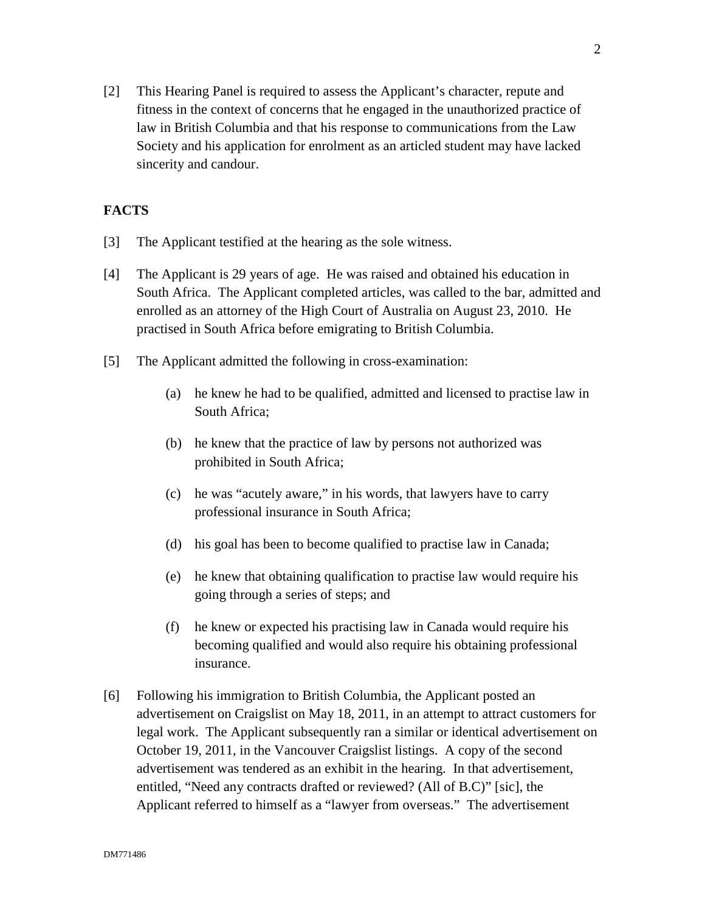[2] This Hearing Panel is required to assess the Applicant's character, repute and fitness in the context of concerns that he engaged in the unauthorized practice of law in British Columbia and that his response to communications from the Law Society and his application for enrolment as an articled student may have lacked sincerity and candour.

## **FACTS**

- [3] The Applicant testified at the hearing as the sole witness.
- [4] The Applicant is 29 years of age. He was raised and obtained his education in South Africa. The Applicant completed articles, was called to the bar, admitted and enrolled as an attorney of the High Court of Australia on August 23, 2010. He practised in South Africa before emigrating to British Columbia.
- [5] The Applicant admitted the following in cross-examination:
	- (a) he knew he had to be qualified, admitted and licensed to practise law in South Africa;
	- (b) he knew that the practice of law by persons not authorized was prohibited in South Africa;
	- (c) he was "acutely aware," in his words, that lawyers have to carry professional insurance in South Africa;
	- (d) his goal has been to become qualified to practise law in Canada;
	- (e) he knew that obtaining qualification to practise law would require his going through a series of steps; and
	- (f) he knew or expected his practising law in Canada would require his becoming qualified and would also require his obtaining professional insurance.
- [6] Following his immigration to British Columbia, the Applicant posted an advertisement on Craigslist on May 18, 2011, in an attempt to attract customers for legal work. The Applicant subsequently ran a similar or identical advertisement on October 19, 2011, in the Vancouver Craigslist listings. A copy of the second advertisement was tendered as an exhibit in the hearing. In that advertisement, entitled, "Need any contracts drafted or reviewed? (All of B.C)" [sic], the Applicant referred to himself as a "lawyer from overseas." The advertisement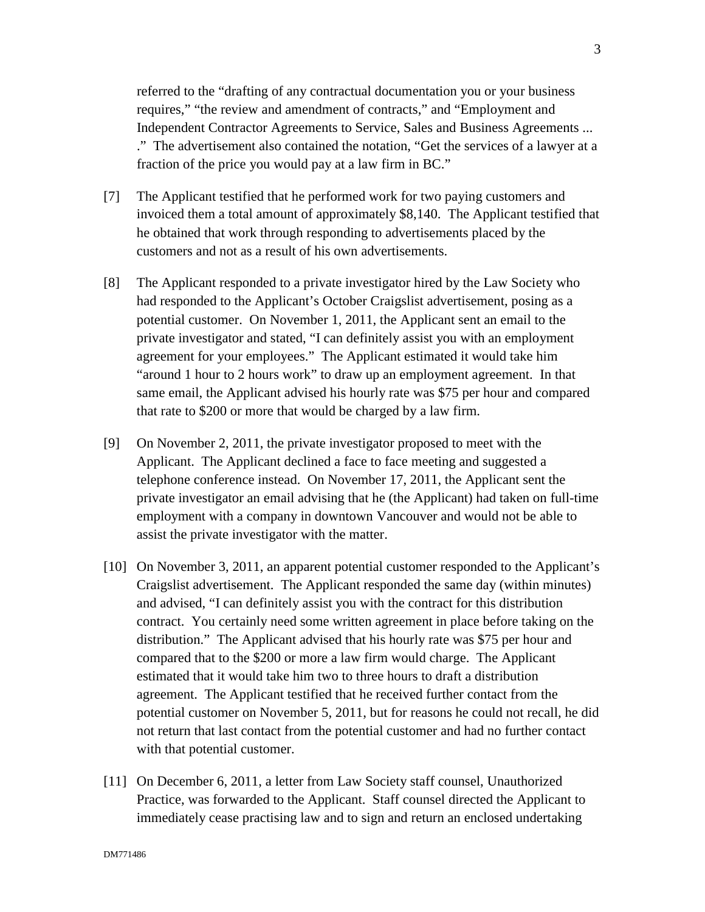referred to the "drafting of any contractual documentation you or your business requires," "the review and amendment of contracts," and "Employment and Independent Contractor Agreements to Service, Sales and Business Agreements ... ." The advertisement also contained the notation, "Get the services of a lawyer at a fraction of the price you would pay at a law firm in BC."

- [7] The Applicant testified that he performed work for two paying customers and invoiced them a total amount of approximately \$8,140. The Applicant testified that he obtained that work through responding to advertisements placed by the customers and not as a result of his own advertisements.
- [8] The Applicant responded to a private investigator hired by the Law Society who had responded to the Applicant's October Craigslist advertisement, posing as a potential customer. On November 1, 2011, the Applicant sent an email to the private investigator and stated, "I can definitely assist you with an employment agreement for your employees." The Applicant estimated it would take him "around 1 hour to 2 hours work" to draw up an employment agreement. In that same email, the Applicant advised his hourly rate was \$75 per hour and compared that rate to \$200 or more that would be charged by a law firm.
- [9] On November 2, 2011, the private investigator proposed to meet with the Applicant. The Applicant declined a face to face meeting and suggested a telephone conference instead. On November 17, 2011, the Applicant sent the private investigator an email advising that he (the Applicant) had taken on full-time employment with a company in downtown Vancouver and would not be able to assist the private investigator with the matter.
- [10] On November 3, 2011, an apparent potential customer responded to the Applicant's Craigslist advertisement. The Applicant responded the same day (within minutes) and advised, "I can definitely assist you with the contract for this distribution contract. You certainly need some written agreement in place before taking on the distribution." The Applicant advised that his hourly rate was \$75 per hour and compared that to the \$200 or more a law firm would charge. The Applicant estimated that it would take him two to three hours to draft a distribution agreement. The Applicant testified that he received further contact from the potential customer on November 5, 2011, but for reasons he could not recall, he did not return that last contact from the potential customer and had no further contact with that potential customer.
- [11] On December 6, 2011, a letter from Law Society staff counsel, Unauthorized Practice, was forwarded to the Applicant. Staff counsel directed the Applicant to immediately cease practising law and to sign and return an enclosed undertaking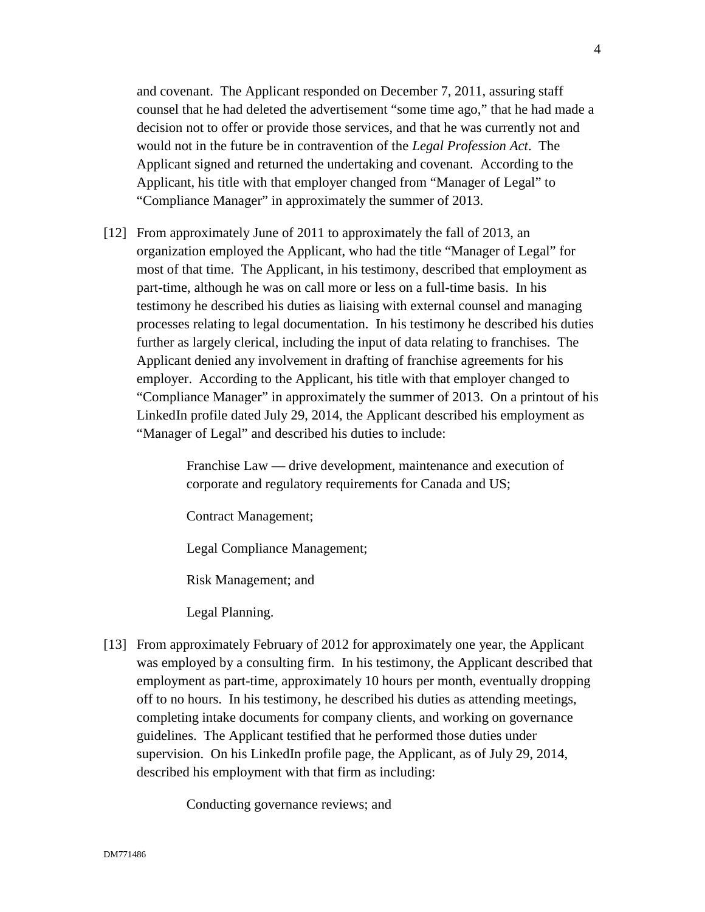and covenant. The Applicant responded on December 7, 2011, assuring staff counsel that he had deleted the advertisement "some time ago," that he had made a decision not to offer or provide those services, and that he was currently not and would not in the future be in contravention of the *Legal Profession Act*. The Applicant signed and returned the undertaking and covenant. According to the Applicant, his title with that employer changed from "Manager of Legal" to "Compliance Manager" in approximately the summer of 2013.

[12] From approximately June of 2011 to approximately the fall of 2013, an organization employed the Applicant, who had the title "Manager of Legal" for most of that time. The Applicant, in his testimony, described that employment as part-time, although he was on call more or less on a full-time basis. In his testimony he described his duties as liaising with external counsel and managing processes relating to legal documentation. In his testimony he described his duties further as largely clerical, including the input of data relating to franchises. The Applicant denied any involvement in drafting of franchise agreements for his employer. According to the Applicant, his title with that employer changed to "Compliance Manager" in approximately the summer of 2013. On a printout of his LinkedIn profile dated July 29, 2014, the Applicant described his employment as "Manager of Legal" and described his duties to include:

> Franchise Law — drive development, maintenance and execution of corporate and regulatory requirements for Canada and US;

Contract Management;

Legal Compliance Management;

Risk Management; and

Legal Planning.

[13] From approximately February of 2012 for approximately one year, the Applicant was employed by a consulting firm. In his testimony, the Applicant described that employment as part-time, approximately 10 hours per month, eventually dropping off to no hours. In his testimony, he described his duties as attending meetings, completing intake documents for company clients, and working on governance guidelines. The Applicant testified that he performed those duties under supervision. On his LinkedIn profile page, the Applicant, as of July 29, 2014, described his employment with that firm as including:

Conducting governance reviews; and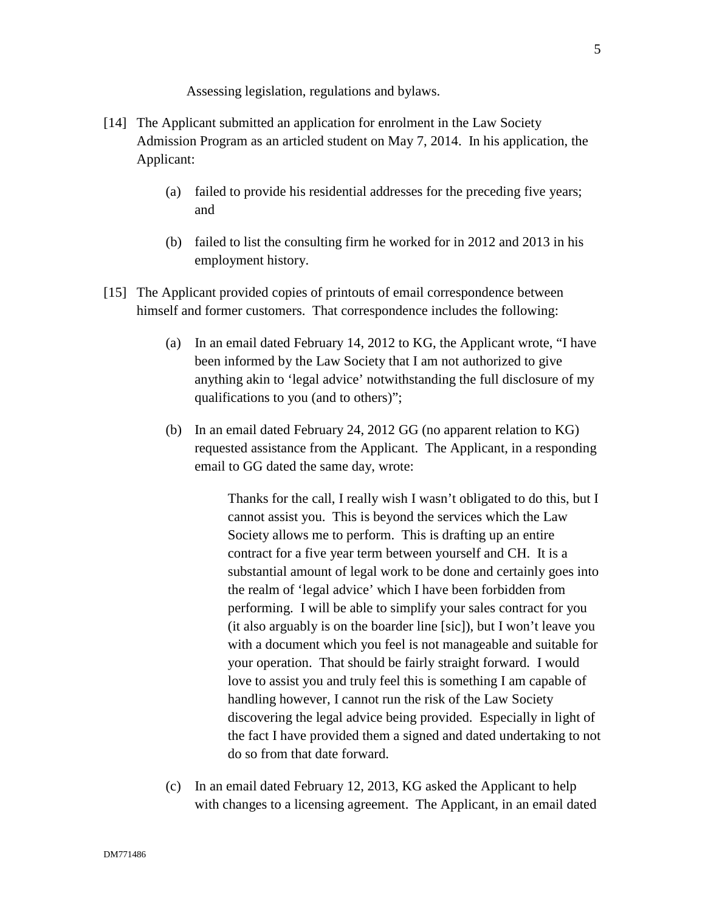Assessing legislation, regulations and bylaws.

- [14] The Applicant submitted an application for enrolment in the Law Society Admission Program as an articled student on May 7, 2014. In his application, the Applicant:
	- (a) failed to provide his residential addresses for the preceding five years; and
	- (b) failed to list the consulting firm he worked for in 2012 and 2013 in his employment history.
- [15] The Applicant provided copies of printouts of email correspondence between himself and former customers. That correspondence includes the following:
	- (a) In an email dated February 14, 2012 to KG, the Applicant wrote, "I have been informed by the Law Society that I am not authorized to give anything akin to 'legal advice' notwithstanding the full disclosure of my qualifications to you (and to others)";
	- (b) In an email dated February 24, 2012 GG (no apparent relation to KG) requested assistance from the Applicant. The Applicant, in a responding email to GG dated the same day, wrote:

Thanks for the call, I really wish I wasn't obligated to do this, but I cannot assist you. This is beyond the services which the Law Society allows me to perform. This is drafting up an entire contract for a five year term between yourself and CH. It is a substantial amount of legal work to be done and certainly goes into the realm of 'legal advice' which I have been forbidden from performing. I will be able to simplify your sales contract for you (it also arguably is on the boarder line [sic]), but I won't leave you with a document which you feel is not manageable and suitable for your operation. That should be fairly straight forward. I would love to assist you and truly feel this is something I am capable of handling however, I cannot run the risk of the Law Society discovering the legal advice being provided. Especially in light of the fact I have provided them a signed and dated undertaking to not do so from that date forward.

(c) In an email dated February 12, 2013, KG asked the Applicant to help with changes to a licensing agreement. The Applicant, in an email dated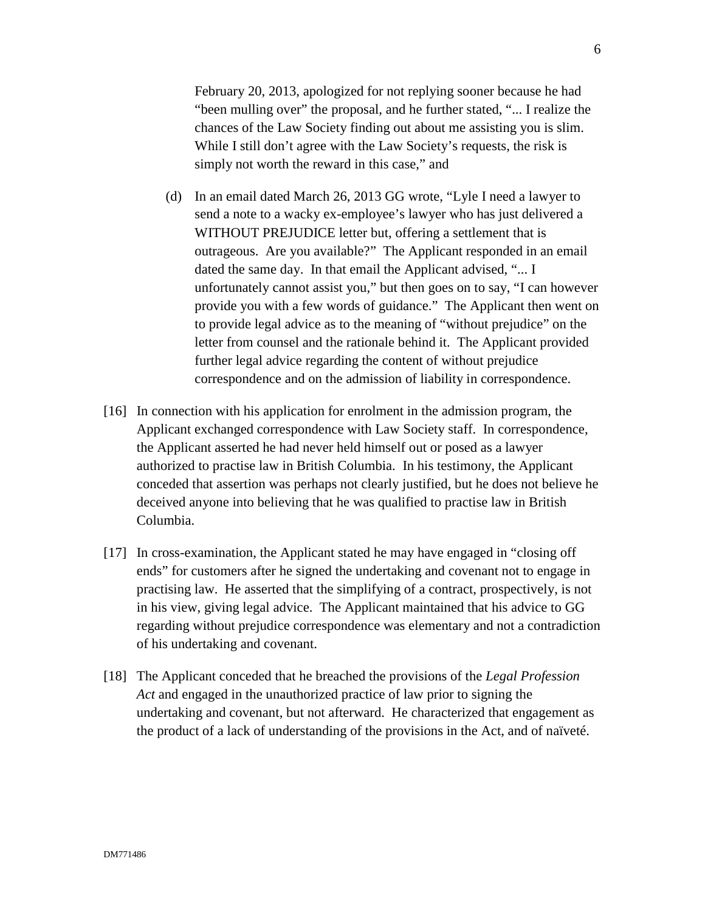February 20, 2013, apologized for not replying sooner because he had "been mulling over" the proposal, and he further stated, "... I realize the chances of the Law Society finding out about me assisting you is slim. While I still don't agree with the Law Society's requests, the risk is simply not worth the reward in this case," and

- (d) In an email dated March 26, 2013 GG wrote, "Lyle I need a lawyer to send a note to a wacky ex-employee's lawyer who has just delivered a WITHOUT PREJUDICE letter but, offering a settlement that is outrageous. Are you available?" The Applicant responded in an email dated the same day. In that email the Applicant advised, "... I unfortunately cannot assist you," but then goes on to say, "I can however provide you with a few words of guidance." The Applicant then went on to provide legal advice as to the meaning of "without prejudice" on the letter from counsel and the rationale behind it. The Applicant provided further legal advice regarding the content of without prejudice correspondence and on the admission of liability in correspondence.
- [16] In connection with his application for enrolment in the admission program, the Applicant exchanged correspondence with Law Society staff. In correspondence, the Applicant asserted he had never held himself out or posed as a lawyer authorized to practise law in British Columbia. In his testimony, the Applicant conceded that assertion was perhaps not clearly justified, but he does not believe he deceived anyone into believing that he was qualified to practise law in British Columbia.
- [17] In cross-examination, the Applicant stated he may have engaged in "closing off ends" for customers after he signed the undertaking and covenant not to engage in practising law. He asserted that the simplifying of a contract, prospectively, is not in his view, giving legal advice. The Applicant maintained that his advice to GG regarding without prejudice correspondence was elementary and not a contradiction of his undertaking and covenant.
- [18] The Applicant conceded that he breached the provisions of the *Legal Profession Act* and engaged in the unauthorized practice of law prior to signing the undertaking and covenant, but not afterward. He characterized that engagement as the product of a lack of understanding of the provisions in the Act, and of naïveté.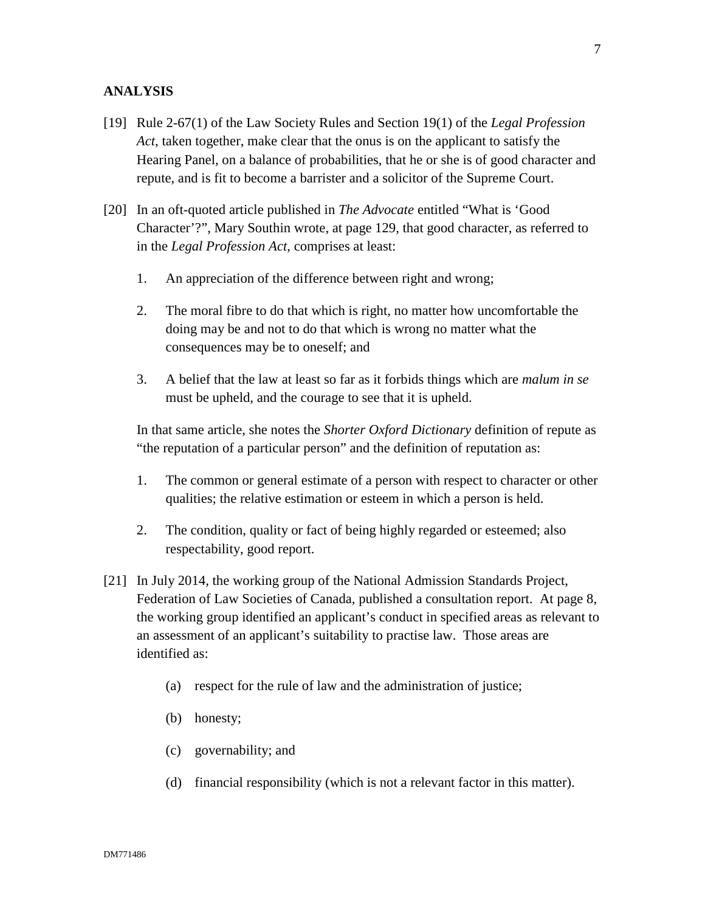#### **ANALYSIS**

- [19] Rule 2-67(1) of the Law Society Rules and Section 19(1) of the *Legal Profession Act*, taken together, make clear that the onus is on the applicant to satisfy the Hearing Panel, on a balance of probabilities, that he or she is of good character and repute, and is fit to become a barrister and a solicitor of the Supreme Court.
- [20] In an oft-quoted article published in *The Advocate* entitled "What is 'Good Character'?", Mary Southin wrote, at page 129, that good character, as referred to in the *Legal Profession Act*, comprises at least:
	- 1. An appreciation of the difference between right and wrong;
	- 2. The moral fibre to do that which is right, no matter how uncomfortable the doing may be and not to do that which is wrong no matter what the consequences may be to oneself; and
	- 3. A belief that the law at least so far as it forbids things which are *malum in se*  must be upheld, and the courage to see that it is upheld.

In that same article, she notes the *Shorter Oxford Dictionary* definition of repute as "the reputation of a particular person" and the definition of reputation as:

- 1. The common or general estimate of a person with respect to character or other qualities; the relative estimation or esteem in which a person is held.
- 2. The condition, quality or fact of being highly regarded or esteemed; also respectability, good report.
- [21] In July 2014, the working group of the National Admission Standards Project, Federation of Law Societies of Canada, published a consultation report. At page 8, the working group identified an applicant's conduct in specified areas as relevant to an assessment of an applicant's suitability to practise law. Those areas are identified as:
	- (a) respect for the rule of law and the administration of justice;
	- (b) honesty;
	- (c) governability; and
	- (d) financial responsibility (which is not a relevant factor in this matter).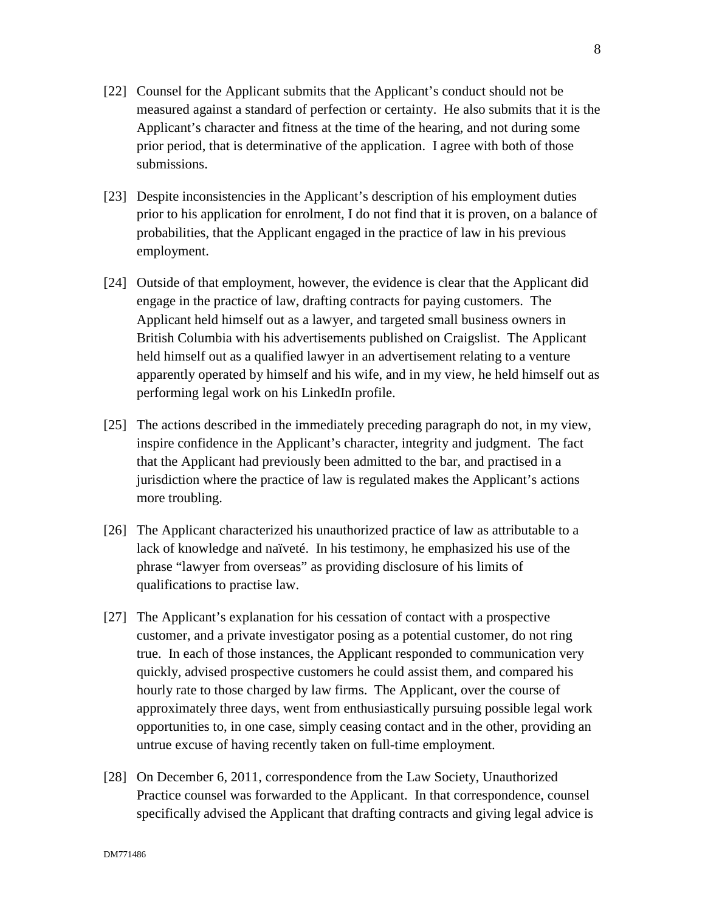- [22] Counsel for the Applicant submits that the Applicant's conduct should not be measured against a standard of perfection or certainty. He also submits that it is the Applicant's character and fitness at the time of the hearing, and not during some prior period, that is determinative of the application. I agree with both of those submissions.
- [23] Despite inconsistencies in the Applicant's description of his employment duties prior to his application for enrolment, I do not find that it is proven, on a balance of probabilities, that the Applicant engaged in the practice of law in his previous employment.
- [24] Outside of that employment, however, the evidence is clear that the Applicant did engage in the practice of law, drafting contracts for paying customers. The Applicant held himself out as a lawyer, and targeted small business owners in British Columbia with his advertisements published on Craigslist. The Applicant held himself out as a qualified lawyer in an advertisement relating to a venture apparently operated by himself and his wife, and in my view, he held himself out as performing legal work on his LinkedIn profile.
- [25] The actions described in the immediately preceding paragraph do not, in my view, inspire confidence in the Applicant's character, integrity and judgment. The fact that the Applicant had previously been admitted to the bar, and practised in a jurisdiction where the practice of law is regulated makes the Applicant's actions more troubling.
- [26] The Applicant characterized his unauthorized practice of law as attributable to a lack of knowledge and naïveté. In his testimony, he emphasized his use of the phrase "lawyer from overseas" as providing disclosure of his limits of qualifications to practise law.
- [27] The Applicant's explanation for his cessation of contact with a prospective customer, and a private investigator posing as a potential customer, do not ring true. In each of those instances, the Applicant responded to communication very quickly, advised prospective customers he could assist them, and compared his hourly rate to those charged by law firms. The Applicant, over the course of approximately three days, went from enthusiastically pursuing possible legal work opportunities to, in one case, simply ceasing contact and in the other, providing an untrue excuse of having recently taken on full-time employment.
- [28] On December 6, 2011, correspondence from the Law Society, Unauthorized Practice counsel was forwarded to the Applicant. In that correspondence, counsel specifically advised the Applicant that drafting contracts and giving legal advice is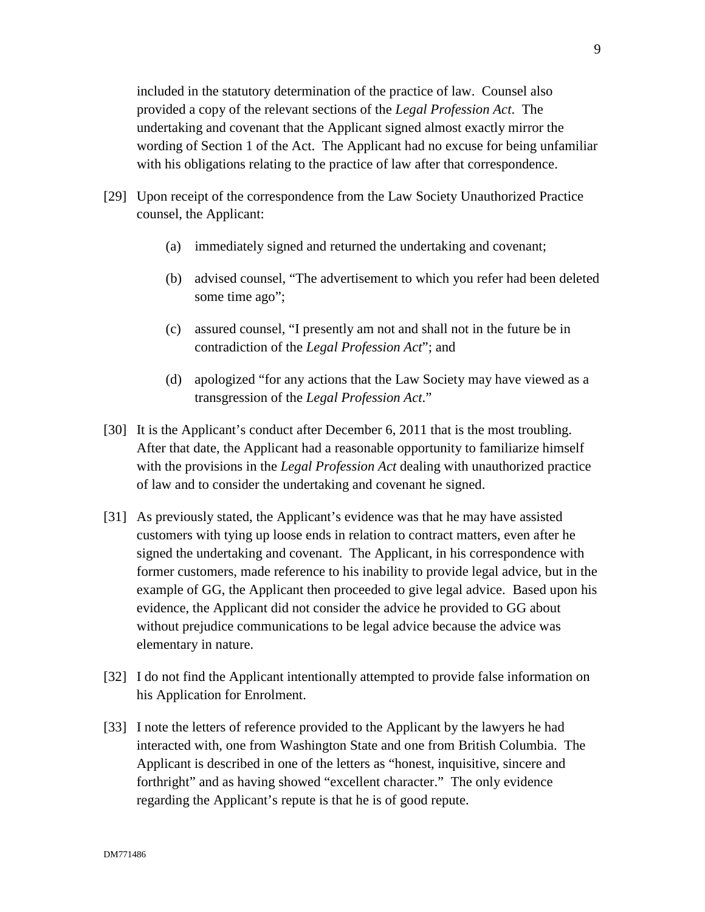included in the statutory determination of the practice of law. Counsel also provided a copy of the relevant sections of the *Legal Profession Act*. The undertaking and covenant that the Applicant signed almost exactly mirror the wording of Section 1 of the Act. The Applicant had no excuse for being unfamiliar with his obligations relating to the practice of law after that correspondence.

- [29] Upon receipt of the correspondence from the Law Society Unauthorized Practice counsel, the Applicant:
	- (a) immediately signed and returned the undertaking and covenant;
	- (b) advised counsel, "The advertisement to which you refer had been deleted some time ago";
	- (c) assured counsel, "I presently am not and shall not in the future be in contradiction of the *Legal Profession Act*"; and
	- (d) apologized "for any actions that the Law Society may have viewed as a transgression of the *Legal Profession Act*."
- [30] It is the Applicant's conduct after December 6, 2011 that is the most troubling. After that date, the Applicant had a reasonable opportunity to familiarize himself with the provisions in the *Legal Profession Act* dealing with unauthorized practice of law and to consider the undertaking and covenant he signed.
- [31] As previously stated, the Applicant's evidence was that he may have assisted customers with tying up loose ends in relation to contract matters, even after he signed the undertaking and covenant. The Applicant, in his correspondence with former customers, made reference to his inability to provide legal advice, but in the example of GG, the Applicant then proceeded to give legal advice. Based upon his evidence, the Applicant did not consider the advice he provided to GG about without prejudice communications to be legal advice because the advice was elementary in nature.
- [32] I do not find the Applicant intentionally attempted to provide false information on his Application for Enrolment.
- [33] I note the letters of reference provided to the Applicant by the lawyers he had interacted with, one from Washington State and one from British Columbia. The Applicant is described in one of the letters as "honest, inquisitive, sincere and forthright" and as having showed "excellent character." The only evidence regarding the Applicant's repute is that he is of good repute.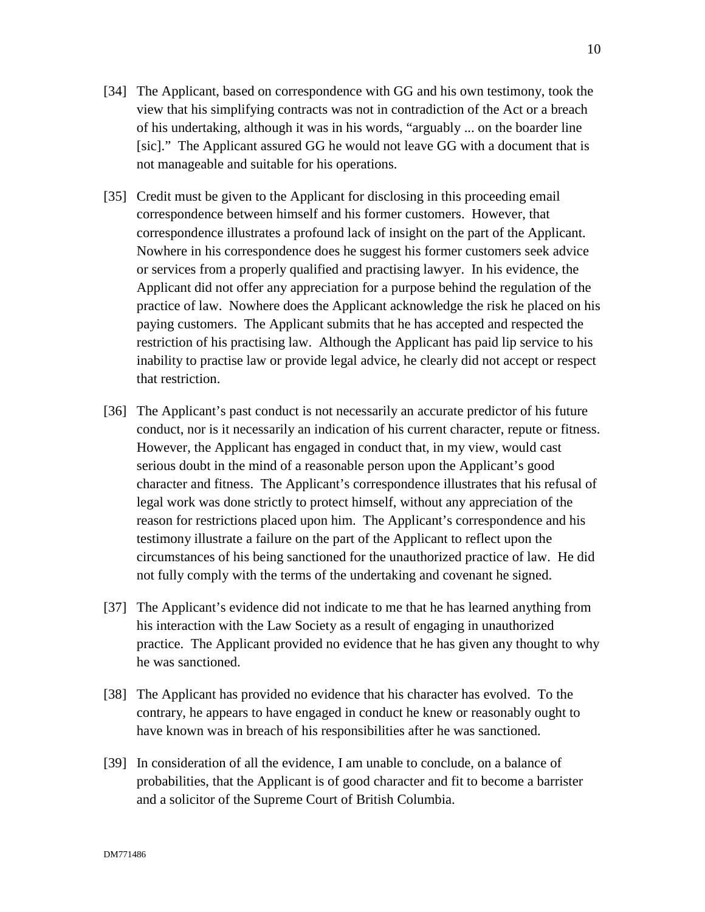- [34] The Applicant, based on correspondence with GG and his own testimony, took the view that his simplifying contracts was not in contradiction of the Act or a breach of his undertaking, although it was in his words, "arguably ... on the boarder line [sic]." The Applicant assured GG he would not leave GG with a document that is not manageable and suitable for his operations.
- [35] Credit must be given to the Applicant for disclosing in this proceeding email correspondence between himself and his former customers. However, that correspondence illustrates a profound lack of insight on the part of the Applicant. Nowhere in his correspondence does he suggest his former customers seek advice or services from a properly qualified and practising lawyer. In his evidence, the Applicant did not offer any appreciation for a purpose behind the regulation of the practice of law. Nowhere does the Applicant acknowledge the risk he placed on his paying customers. The Applicant submits that he has accepted and respected the restriction of his practising law. Although the Applicant has paid lip service to his inability to practise law or provide legal advice, he clearly did not accept or respect that restriction.
- [36] The Applicant's past conduct is not necessarily an accurate predictor of his future conduct, nor is it necessarily an indication of his current character, repute or fitness. However, the Applicant has engaged in conduct that, in my view, would cast serious doubt in the mind of a reasonable person upon the Applicant's good character and fitness. The Applicant's correspondence illustrates that his refusal of legal work was done strictly to protect himself, without any appreciation of the reason for restrictions placed upon him. The Applicant's correspondence and his testimony illustrate a failure on the part of the Applicant to reflect upon the circumstances of his being sanctioned for the unauthorized practice of law. He did not fully comply with the terms of the undertaking and covenant he signed.
- [37] The Applicant's evidence did not indicate to me that he has learned anything from his interaction with the Law Society as a result of engaging in unauthorized practice. The Applicant provided no evidence that he has given any thought to why he was sanctioned.
- [38] The Applicant has provided no evidence that his character has evolved. To the contrary, he appears to have engaged in conduct he knew or reasonably ought to have known was in breach of his responsibilities after he was sanctioned.
- [39] In consideration of all the evidence, I am unable to conclude, on a balance of probabilities, that the Applicant is of good character and fit to become a barrister and a solicitor of the Supreme Court of British Columbia.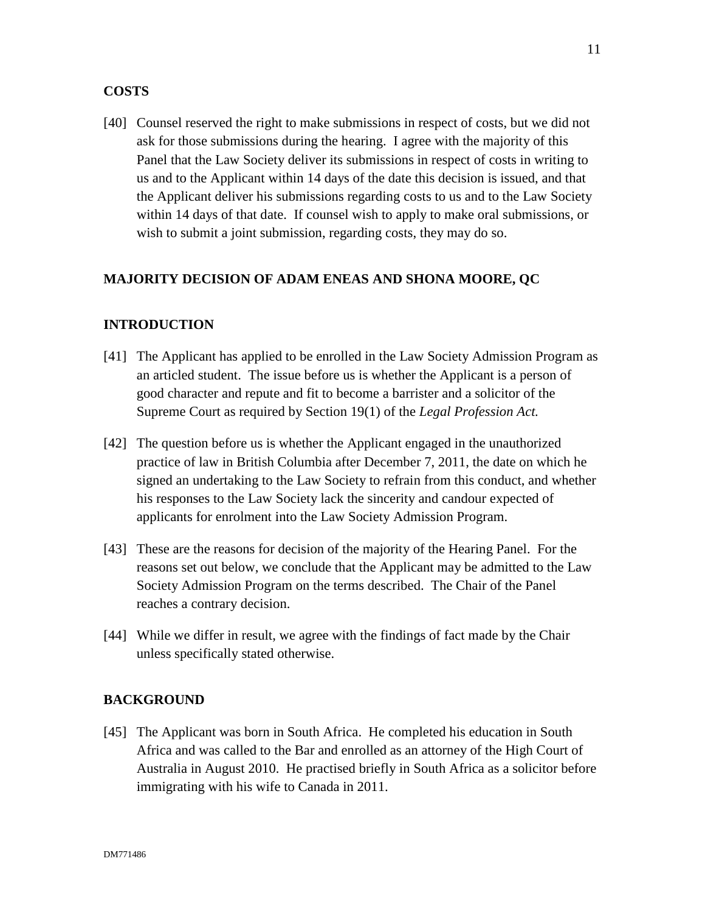### **COSTS**

[40] Counsel reserved the right to make submissions in respect of costs, but we did not ask for those submissions during the hearing. I agree with the majority of this Panel that the Law Society deliver its submissions in respect of costs in writing to us and to the Applicant within 14 days of the date this decision is issued, and that the Applicant deliver his submissions regarding costs to us and to the Law Society within 14 days of that date. If counsel wish to apply to make oral submissions, or wish to submit a joint submission, regarding costs, they may do so.

### **MAJORITY DECISION OF ADAM ENEAS AND SHONA MOORE, QC**

### **INTRODUCTION**

- [41] The Applicant has applied to be enrolled in the Law Society Admission Program as an articled student. The issue before us is whether the Applicant is a person of good character and repute and fit to become a barrister and a solicitor of the Supreme Court as required by Section 19(1) of the *Legal Profession Act.*
- [42] The question before us is whether the Applicant engaged in the unauthorized practice of law in British Columbia after December 7, 2011, the date on which he signed an undertaking to the Law Society to refrain from this conduct, and whether his responses to the Law Society lack the sincerity and candour expected of applicants for enrolment into the Law Society Admission Program.
- [43] These are the reasons for decision of the majority of the Hearing Panel. For the reasons set out below, we conclude that the Applicant may be admitted to the Law Society Admission Program on the terms described. The Chair of the Panel reaches a contrary decision.
- [44] While we differ in result, we agree with the findings of fact made by the Chair unless specifically stated otherwise.

#### **BACKGROUND**

[45] The Applicant was born in South Africa. He completed his education in South Africa and was called to the Bar and enrolled as an attorney of the High Court of Australia in August 2010. He practised briefly in South Africa as a solicitor before immigrating with his wife to Canada in 2011.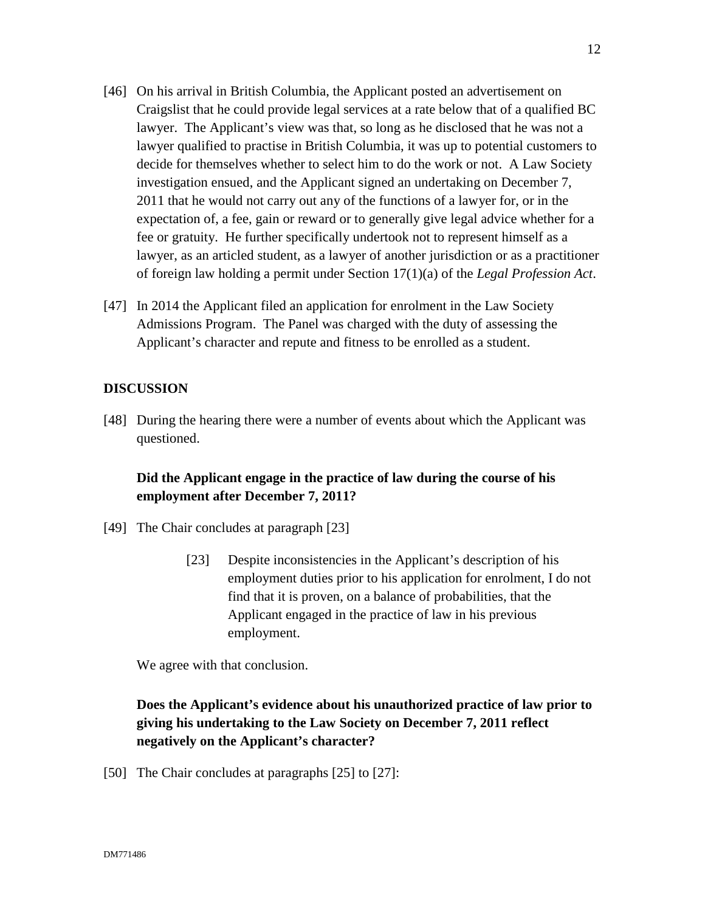- [46] On his arrival in British Columbia, the Applicant posted an advertisement on Craigslist that he could provide legal services at a rate below that of a qualified BC lawyer. The Applicant's view was that, so long as he disclosed that he was not a lawyer qualified to practise in British Columbia, it was up to potential customers to decide for themselves whether to select him to do the work or not. A Law Society investigation ensued, and the Applicant signed an undertaking on December 7, 2011 that he would not carry out any of the functions of a lawyer for, or in the expectation of, a fee, gain or reward or to generally give legal advice whether for a fee or gratuity. He further specifically undertook not to represent himself as a lawyer, as an articled student, as a lawyer of another jurisdiction or as a practitioner of foreign law holding a permit under Section 17(1)(a) of the *Legal Profession Act*.
- [47] In 2014 the Applicant filed an application for enrolment in the Law Society Admissions Program. The Panel was charged with the duty of assessing the Applicant's character and repute and fitness to be enrolled as a student.

### **DISCUSSION**

[48] During the hearing there were a number of events about which the Applicant was questioned.

## **Did the Applicant engage in the practice of law during the course of his employment after December 7, 2011?**

- [49] The Chair concludes at paragraph [23]
	- [23] Despite inconsistencies in the Applicant's description of his employment duties prior to his application for enrolment, I do not find that it is proven, on a balance of probabilities, that the Applicant engaged in the practice of law in his previous employment.

We agree with that conclusion.

# **Does the Applicant's evidence about his unauthorized practice of law prior to giving his undertaking to the Law Society on December 7, 2011 reflect negatively on the Applicant's character?**

[50] The Chair concludes at paragraphs [25] to [27]: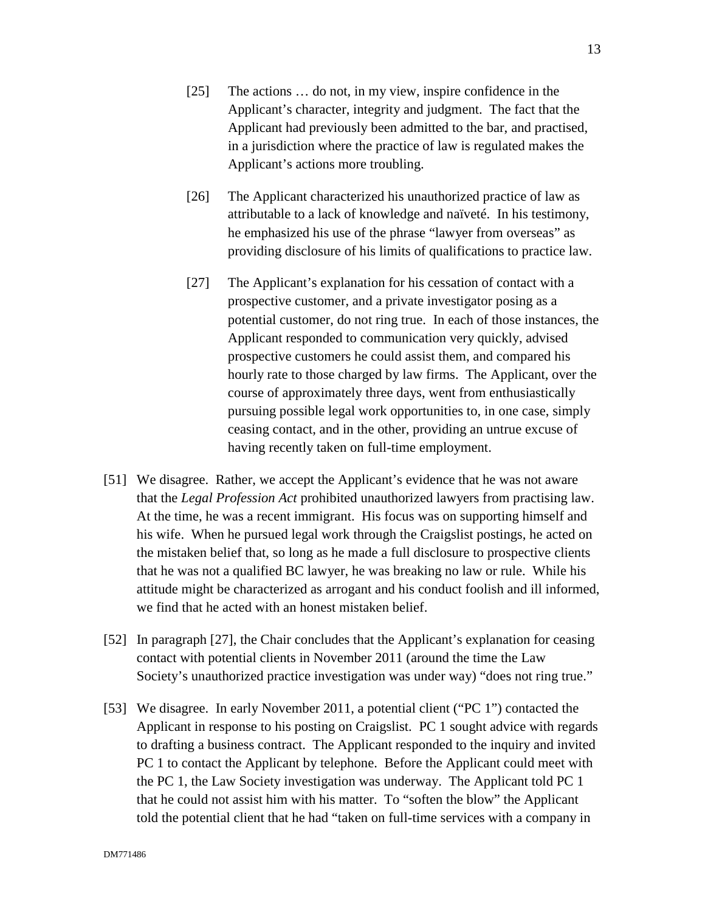- [25] The actions ... do not, in my view, inspire confidence in the Applicant's character, integrity and judgment. The fact that the Applicant had previously been admitted to the bar, and practised, in a jurisdiction where the practice of law is regulated makes the Applicant's actions more troubling.
- [26] The Applicant characterized his unauthorized practice of law as attributable to a lack of knowledge and naïveté. In his testimony, he emphasized his use of the phrase "lawyer from overseas" as providing disclosure of his limits of qualifications to practice law.
- [27] The Applicant's explanation for his cessation of contact with a prospective customer, and a private investigator posing as a potential customer, do not ring true. In each of those instances, the Applicant responded to communication very quickly, advised prospective customers he could assist them, and compared his hourly rate to those charged by law firms. The Applicant, over the course of approximately three days, went from enthusiastically pursuing possible legal work opportunities to, in one case, simply ceasing contact, and in the other, providing an untrue excuse of having recently taken on full-time employment.
- [51] We disagree. Rather, we accept the Applicant's evidence that he was not aware that the *Legal Profession Act* prohibited unauthorized lawyers from practising law. At the time, he was a recent immigrant. His focus was on supporting himself and his wife. When he pursued legal work through the Craigslist postings, he acted on the mistaken belief that, so long as he made a full disclosure to prospective clients that he was not a qualified BC lawyer, he was breaking no law or rule. While his attitude might be characterized as arrogant and his conduct foolish and ill informed, we find that he acted with an honest mistaken belief.
- [52] In paragraph [27], the Chair concludes that the Applicant's explanation for ceasing contact with potential clients in November 2011 (around the time the Law Society's unauthorized practice investigation was under way) "does not ring true."
- [53] We disagree. In early November 2011, a potential client ("PC 1") contacted the Applicant in response to his posting on Craigslist. PC 1 sought advice with regards to drafting a business contract. The Applicant responded to the inquiry and invited PC 1 to contact the Applicant by telephone. Before the Applicant could meet with the PC 1, the Law Society investigation was underway. The Applicant told PC 1 that he could not assist him with his matter. To "soften the blow" the Applicant told the potential client that he had "taken on full-time services with a company in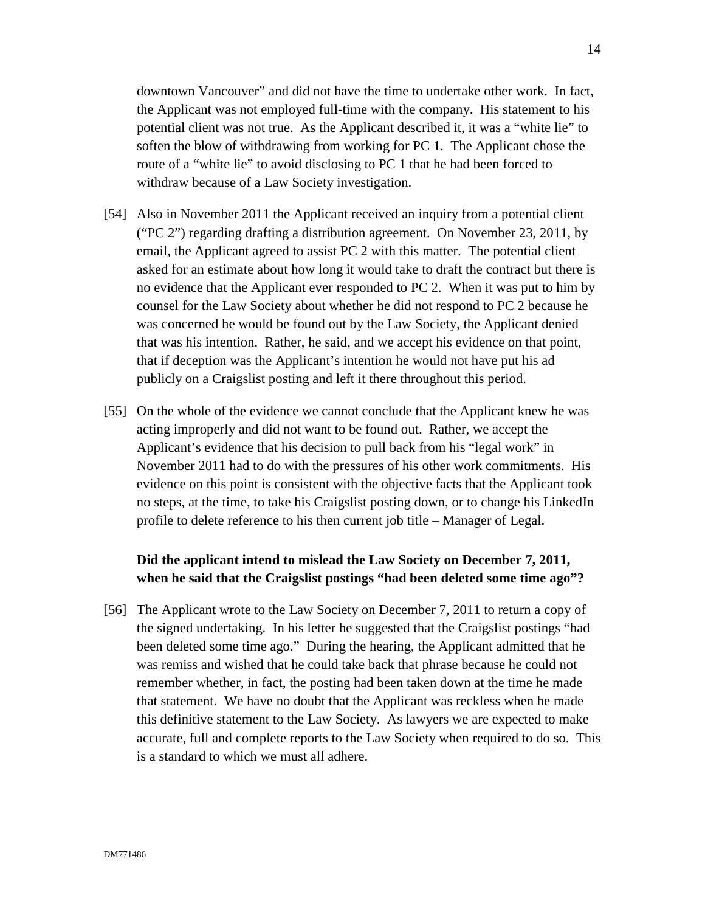downtown Vancouver" and did not have the time to undertake other work. In fact, the Applicant was not employed full-time with the company. His statement to his potential client was not true. As the Applicant described it, it was a "white lie" to soften the blow of withdrawing from working for PC 1. The Applicant chose the route of a "white lie" to avoid disclosing to PC 1 that he had been forced to withdraw because of a Law Society investigation.

- [54] Also in November 2011 the Applicant received an inquiry from a potential client ("PC 2") regarding drafting a distribution agreement. On November 23, 2011, by email, the Applicant agreed to assist PC 2 with this matter. The potential client asked for an estimate about how long it would take to draft the contract but there is no evidence that the Applicant ever responded to PC 2. When it was put to him by counsel for the Law Society about whether he did not respond to PC 2 because he was concerned he would be found out by the Law Society, the Applicant denied that was his intention. Rather, he said, and we accept his evidence on that point, that if deception was the Applicant's intention he would not have put his ad publicly on a Craigslist posting and left it there throughout this period.
- [55] On the whole of the evidence we cannot conclude that the Applicant knew he was acting improperly and did not want to be found out. Rather, we accept the Applicant's evidence that his decision to pull back from his "legal work" in November 2011 had to do with the pressures of his other work commitments. His evidence on this point is consistent with the objective facts that the Applicant took no steps, at the time, to take his Craigslist posting down, or to change his LinkedIn profile to delete reference to his then current job title – Manager of Legal.

## **Did the applicant intend to mislead the Law Society on December 7, 2011, when he said that the Craigslist postings "had been deleted some time ago"?**

[56] The Applicant wrote to the Law Society on December 7, 2011 to return a copy of the signed undertaking. In his letter he suggested that the Craigslist postings "had been deleted some time ago." During the hearing, the Applicant admitted that he was remiss and wished that he could take back that phrase because he could not remember whether, in fact, the posting had been taken down at the time he made that statement. We have no doubt that the Applicant was reckless when he made this definitive statement to the Law Society. As lawyers we are expected to make accurate, full and complete reports to the Law Society when required to do so. This is a standard to which we must all adhere.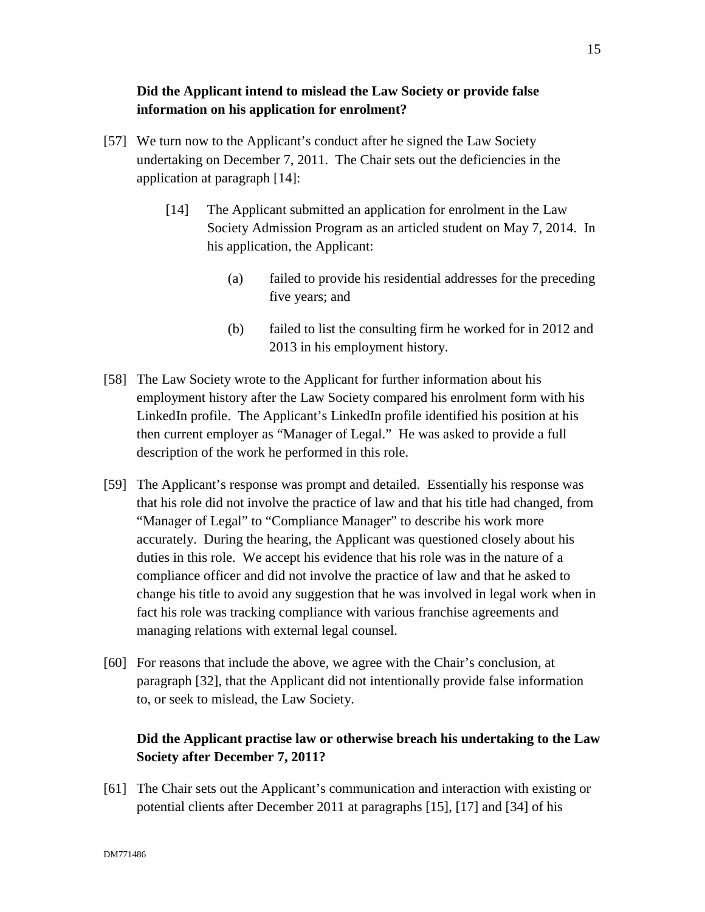## **Did the Applicant intend to mislead the Law Society or provide false information on his application for enrolment?**

- [57] We turn now to the Applicant's conduct after he signed the Law Society undertaking on December 7, 2011. The Chair sets out the deficiencies in the application at paragraph [14]:
	- [14] The Applicant submitted an application for enrolment in the Law Society Admission Program as an articled student on May 7, 2014. In his application, the Applicant:
		- (a) failed to provide his residential addresses for the preceding five years; and
		- (b) failed to list the consulting firm he worked for in 2012 and 2013 in his employment history.
- [58] The Law Society wrote to the Applicant for further information about his employment history after the Law Society compared his enrolment form with his LinkedIn profile. The Applicant's LinkedIn profile identified his position at his then current employer as "Manager of Legal." He was asked to provide a full description of the work he performed in this role.
- [59] The Applicant's response was prompt and detailed. Essentially his response was that his role did not involve the practice of law and that his title had changed, from "Manager of Legal" to "Compliance Manager" to describe his work more accurately. During the hearing, the Applicant was questioned closely about his duties in this role. We accept his evidence that his role was in the nature of a compliance officer and did not involve the practice of law and that he asked to change his title to avoid any suggestion that he was involved in legal work when in fact his role was tracking compliance with various franchise agreements and managing relations with external legal counsel.
- [60] For reasons that include the above, we agree with the Chair's conclusion, at paragraph [32], that the Applicant did not intentionally provide false information to, or seek to mislead, the Law Society.

# **Did the Applicant practise law or otherwise breach his undertaking to the Law Society after December 7, 2011?**

[61] The Chair sets out the Applicant's communication and interaction with existing or potential clients after December 2011 at paragraphs [15], [17] and [34] of his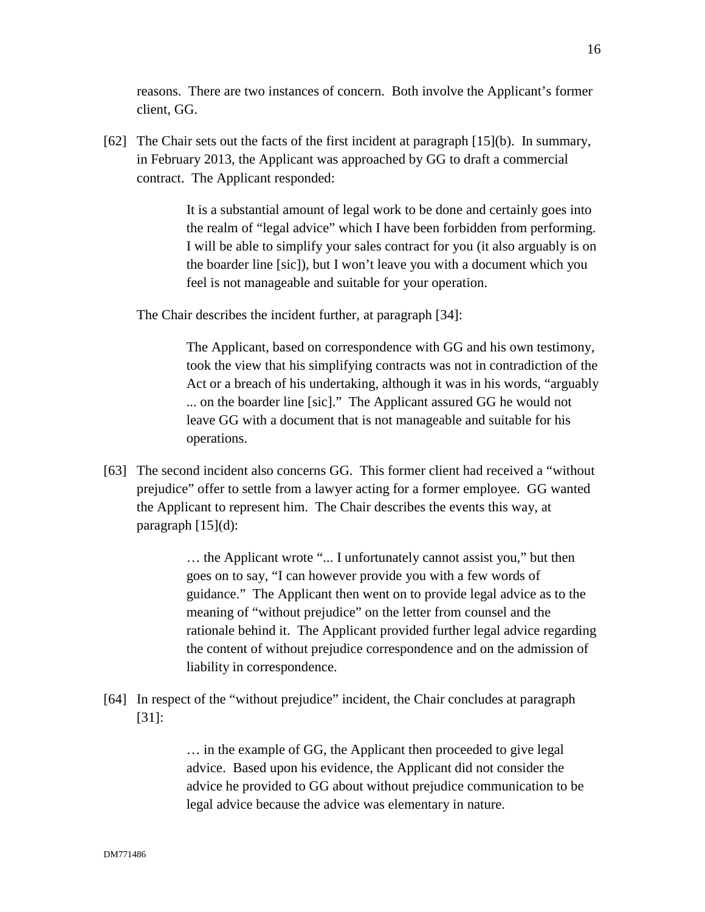reasons. There are two instances of concern. Both involve the Applicant's former client, GG.

[62] The Chair sets out the facts of the first incident at paragraph [15](b). In summary, in February 2013, the Applicant was approached by GG to draft a commercial contract. The Applicant responded:

> It is a substantial amount of legal work to be done and certainly goes into the realm of "legal advice" which I have been forbidden from performing. I will be able to simplify your sales contract for you (it also arguably is on the boarder line [sic]), but I won't leave you with a document which you feel is not manageable and suitable for your operation.

The Chair describes the incident further, at paragraph [34]:

The Applicant, based on correspondence with GG and his own testimony, took the view that his simplifying contracts was not in contradiction of the Act or a breach of his undertaking, although it was in his words, "arguably ... on the boarder line [sic]." The Applicant assured GG he would not leave GG with a document that is not manageable and suitable for his operations.

[63] The second incident also concerns GG. This former client had received a "without prejudice" offer to settle from a lawyer acting for a former employee. GG wanted the Applicant to represent him. The Chair describes the events this way, at paragraph [15](d):

> … the Applicant wrote "... I unfortunately cannot assist you," but then goes on to say, "I can however provide you with a few words of guidance." The Applicant then went on to provide legal advice as to the meaning of "without prejudice" on the letter from counsel and the rationale behind it. The Applicant provided further legal advice regarding the content of without prejudice correspondence and on the admission of liability in correspondence.

[64] In respect of the "without prejudice" incident, the Chair concludes at paragraph [31]:

> … in the example of GG, the Applicant then proceeded to give legal advice. Based upon his evidence, the Applicant did not consider the advice he provided to GG about without prejudice communication to be legal advice because the advice was elementary in nature.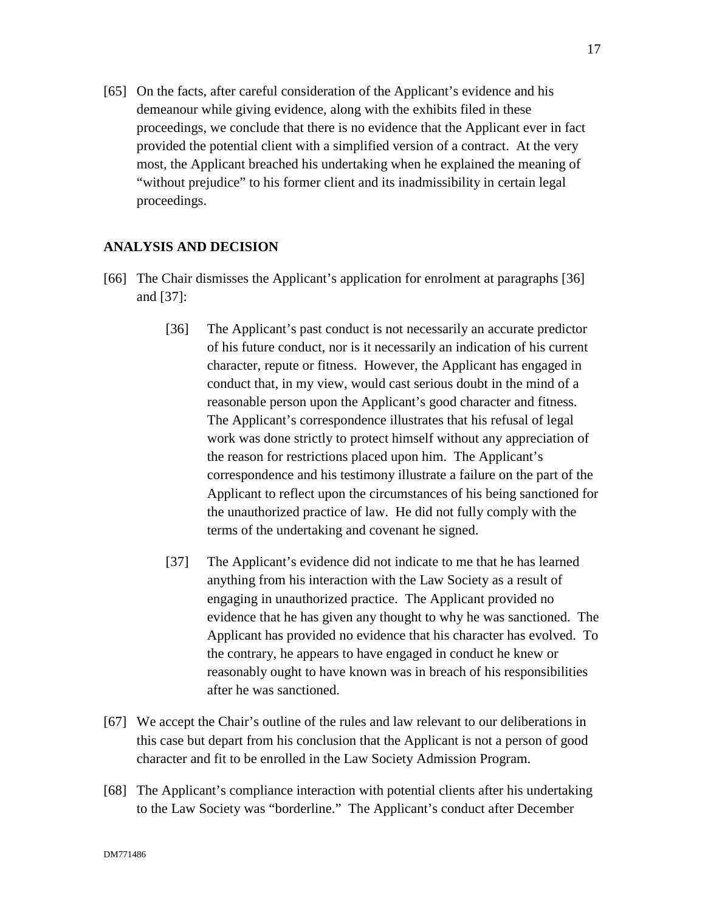[65] On the facts, after careful consideration of the Applicant's evidence and his demeanour while giving evidence, along with the exhibits filed in these proceedings, we conclude that there is no evidence that the Applicant ever in fact provided the potential client with a simplified version of a contract. At the very most, the Applicant breached his undertaking when he explained the meaning of "without prejudice" to his former client and its inadmissibility in certain legal proceedings.

#### **ANALYSIS AND DECISION**

- [66] The Chair dismisses the Applicant's application for enrolment at paragraphs [36] and [37]:
	- [36] The Applicant's past conduct is not necessarily an accurate predictor of his future conduct, nor is it necessarily an indication of his current character, repute or fitness. However, the Applicant has engaged in conduct that, in my view, would cast serious doubt in the mind of a reasonable person upon the Applicant's good character and fitness. The Applicant's correspondence illustrates that his refusal of legal work was done strictly to protect himself without any appreciation of the reason for restrictions placed upon him. The Applicant's correspondence and his testimony illustrate a failure on the part of the Applicant to reflect upon the circumstances of his being sanctioned for the unauthorized practice of law. He did not fully comply with the terms of the undertaking and covenant he signed.
	- [37] The Applicant's evidence did not indicate to me that he has learned anything from his interaction with the Law Society as a result of engaging in unauthorized practice. The Applicant provided no evidence that he has given any thought to why he was sanctioned. The Applicant has provided no evidence that his character has evolved. To the contrary, he appears to have engaged in conduct he knew or reasonably ought to have known was in breach of his responsibilities after he was sanctioned.
- [67] We accept the Chair's outline of the rules and law relevant to our deliberations in this case but depart from his conclusion that the Applicant is not a person of good character and fit to be enrolled in the Law Society Admission Program.
- [68] The Applicant's compliance interaction with potential clients after his undertaking to the Law Society was "borderline." The Applicant's conduct after December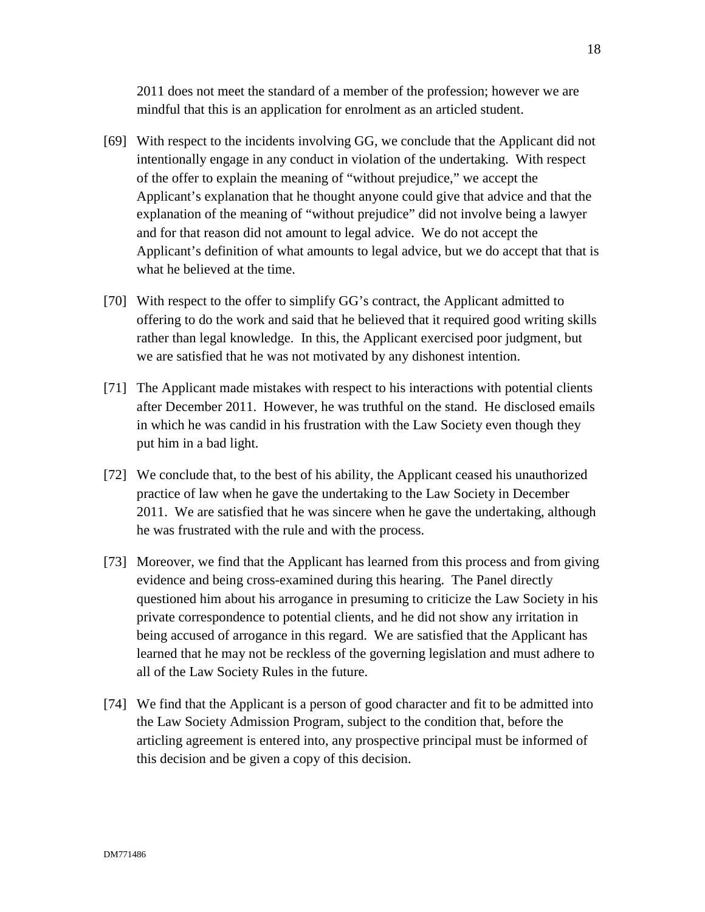2011 does not meet the standard of a member of the profession; however we are mindful that this is an application for enrolment as an articled student.

- [69] With respect to the incidents involving GG, we conclude that the Applicant did not intentionally engage in any conduct in violation of the undertaking. With respect of the offer to explain the meaning of "without prejudice," we accept the Applicant's explanation that he thought anyone could give that advice and that the explanation of the meaning of "without prejudice" did not involve being a lawyer and for that reason did not amount to legal advice. We do not accept the Applicant's definition of what amounts to legal advice, but we do accept that that is what he believed at the time.
- [70] With respect to the offer to simplify GG's contract, the Applicant admitted to offering to do the work and said that he believed that it required good writing skills rather than legal knowledge. In this, the Applicant exercised poor judgment, but we are satisfied that he was not motivated by any dishonest intention.
- [71] The Applicant made mistakes with respect to his interactions with potential clients after December 2011. However, he was truthful on the stand. He disclosed emails in which he was candid in his frustration with the Law Society even though they put him in a bad light.
- [72] We conclude that, to the best of his ability, the Applicant ceased his unauthorized practice of law when he gave the undertaking to the Law Society in December 2011. We are satisfied that he was sincere when he gave the undertaking, although he was frustrated with the rule and with the process.
- [73] Moreover, we find that the Applicant has learned from this process and from giving evidence and being cross-examined during this hearing. The Panel directly questioned him about his arrogance in presuming to criticize the Law Society in his private correspondence to potential clients, and he did not show any irritation in being accused of arrogance in this regard. We are satisfied that the Applicant has learned that he may not be reckless of the governing legislation and must adhere to all of the Law Society Rules in the future.
- [74] We find that the Applicant is a person of good character and fit to be admitted into the Law Society Admission Program, subject to the condition that, before the articling agreement is entered into, any prospective principal must be informed of this decision and be given a copy of this decision.